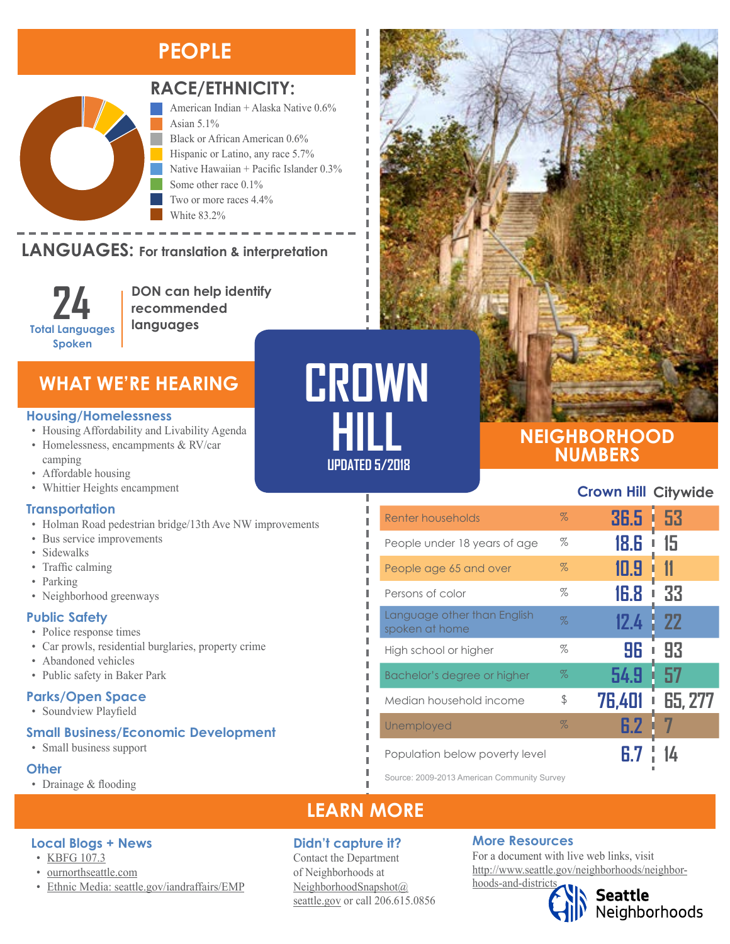# **PEOPLE**



### **RACE/ETHNICITY:**

American Indian + Alaska Native 0.6% Asian 5.1% Black or African American 0.6% Hispanic or Latino, any race 5.7% Native Hawaiian + Pacific Islander 0.3% Some other race 0.1% Two or more races 4.4% White 83.2%

## LANGUAGES: For translation & interpretation

**24 Total Languages Spoken**

American Indian and Alaska Native Asian Black or African American

**DON can help identify recommended languages**

### **WHAT WE'RE HEARING**

#### **Housing/Homelessness**

- Housing Affordability and Livability Agenda
- Homelessness, encampments & RV/car camping
- Affordable housing
- Whittier Heights encampment

#### **Transportation**

- Holman Road pedestrian bridge/13th Ave NW improvements
- Bus service improvements
- Sidewalks
- Traffic calming
- Parking
- Neighborhood greenways

#### **Public Safety**

- Police response times
- Car prowls, residential burglaries, property crime
- Abandoned vehicles
- Public safety in Baker Park

#### **Parks/Open Space**

• Soundview Playfield

#### **Small Business/Economic Development**

• [Ethnic Media: seattle.gov/iandraffairs/EMP](http://www.seattle.gov/iandraffairs/EMP)

• Small business support

#### **Other**

• Drainage & flooding

**Local Blogs + News**

• [KBFG 107.3](http://fulcrumcc.org/) • [ournorthseattle.com](http://ournorthseattle.com/)



### **NEIGHBORHOOD NUMBERS**

#### **Crown Hill Citywide**

| Renter households                             | $\%$ | 36.5 H | -53       |
|-----------------------------------------------|------|--------|-----------|
| People under 18 years of age                  | %    | 18.G   | 15        |
| People age 65 and over                        | $\%$ | 10.9   | 11        |
| Persons of color                              | $\%$ | 16.8   | 33        |
| Language other than English<br>spoken at home | $\%$ | 12.4   | <b>22</b> |
| High school or higher                         | %    | 96     | 93        |
| Bachelor's degree or higher                   | $\%$ | 54.9   | 57        |
| Median household income                       | \$   | 76,401 | 65, 277   |
| Unemployed                                    | $\%$ | 6.2    |           |
| Population below poverty level                |      |        |           |

Source: 2009-2013 American Community Survey

# **LEARN MORE**

**HILL**

Л

**UPDATED 5/2018**

#### **Didn't capture it?**

Contact the Department of Neighborhoods at [NeighborhoodSnapshot@](mailto:NeighborhoodSnapshot%40%0Aseattle.gov?subject=) [seattle.gov](mailto:NeighborhoodSnapshot%40%0Aseattle.gov?subject=) or call 206.615.0856

#### **More Resources**

For a document with live web links, visit [http://www.seattle.gov/neighborhoods/neighbor](http://www.seattle.gov/neighborhoods/neighborhoods-and-districts)[hoods-and-districts](http://www.seattle.gov/neighborhoods/neighborhoods-and-districts)

**Seattle**<br>Neighborhoods